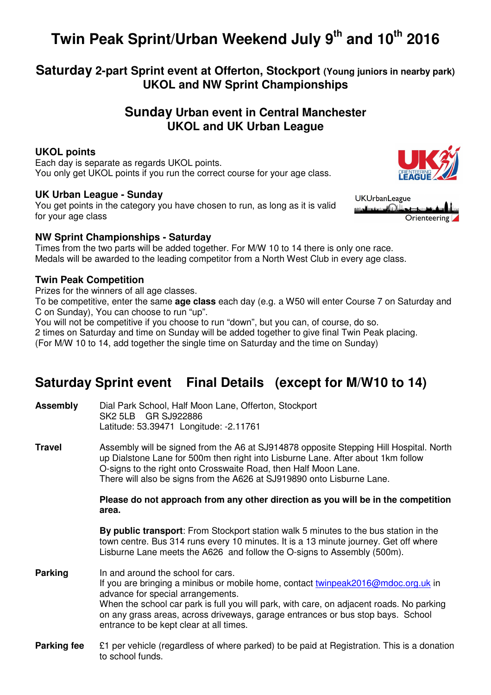# **Twin Peak Sprint/Urban Weekend July 9th and 10th 2016**

**Saturday 2-part Sprint event at Offerton, Stockport (Young juniors in nearby park) UKOL and NW Sprint Championships** 

### **Sunday Urban event in Central Manchester UKOL and UK Urban League**

### **UKOL points**

Each day is separate as regards UKOL points. You only get UKOL points if you run the correct course for your age class.

### **UK Urban League - Sunday**

You get points in the category you have chosen to run, as long as it is valid for your age class

### **NW Sprint Championships - Saturday**

Times from the two parts will be added together. For M/W 10 to 14 there is only one race. Medals will be awarded to the leading competitor from a North West Club in every age class.

### **Twin Peak Competition**

Prizes for the winners of all age classes.

To be competitive, enter the same **age class** each day (e.g. a W50 will enter Course 7 on Saturday and C on Sunday), You can choose to run "up".

You will not be competitive if you choose to run "down", but you can, of course, do so.

2 times on Saturday and time on Sunday will be added together to give final Twin Peak placing.

(For M/W 10 to 14, add together the single time on Saturday and the time on Sunday)

# **Saturday Sprint event Final Details (except for M/W10 to 14)**

| Assembly       | Dial Park School, Half Moon Lane, Offerton, Stockport<br>SK2 5LB GR SJ922886                                                                                                                                                                                                                                                                                                           |
|----------------|----------------------------------------------------------------------------------------------------------------------------------------------------------------------------------------------------------------------------------------------------------------------------------------------------------------------------------------------------------------------------------------|
| <b>Travel</b>  | Assembly will be signed from the A6 at SJ914878 opposite Stepping Hill Hospital. North<br>up Dialstone Lane for 500m then right into Lisburne Lane. After about 1km follow<br>O-signs to the right onto Crosswaite Road, then Half Moon Lane.<br>There will also be signs from the A626 at SJ919890 onto Lisburne Lane.                                                                |
|                | Please do not approach from any other direction as you will be in the competition<br>area.                                                                                                                                                                                                                                                                                             |
|                | By public transport: From Stockport station walk 5 minutes to the bus station in the<br>town centre. Bus 314 runs every 10 minutes. It is a 13 minute journey. Get off where<br>Lisburne Lane meets the A626 and follow the O-signs to Assembly (500m).                                                                                                                                |
| <b>Parking</b> | In and around the school for cars.<br>If you are bringing a minibus or mobile home, contact twinpeak2016@mdoc.org.uk in<br>advance for special arrangements.<br>When the school car park is full you will park, with care, on adjacent roads. No parking<br>on any grass areas, across driveways, garage entrances or bus stop bays. School<br>entrance to be kept clear at all times. |

**Parking fee**  $\epsilon$  21 per vehicle (regardless of where parked) to be paid at Registration. This is a donation to school funds.



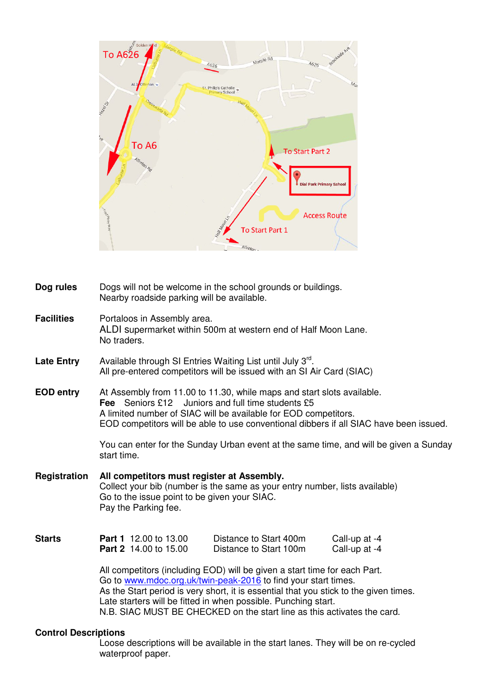

| Dog rules         | Dogs will not be welcome in the school grounds or buildings.<br>Nearby roadside parking will be available.                                                                                                                                                                                             |  |  |  |  |
|-------------------|--------------------------------------------------------------------------------------------------------------------------------------------------------------------------------------------------------------------------------------------------------------------------------------------------------|--|--|--|--|
| <b>Facilities</b> | Portaloos in Assembly area.<br>ALDI supermarket within 500m at western end of Half Moon Lane.<br>No traders.                                                                                                                                                                                           |  |  |  |  |
| <b>Late Entry</b> | Available through SI Entries Waiting List until July 3rd.<br>All pre-entered competitors will be issued with an SI Air Card (SIAC)                                                                                                                                                                     |  |  |  |  |
| <b>EOD entry</b>  | At Assembly from 11.00 to 11.30, while maps and start slots available.<br><b>Fee</b> Seniors £12 Juniors and full time students £5<br>A limited number of SIAC will be available for EOD competitors.<br>EOD competitors will be able to use conventional dibbers if all SIAC have been issued.        |  |  |  |  |
|                   | You can enter for the Sunday Urban event at the same time, and will be given a Sunday<br>start time.                                                                                                                                                                                                   |  |  |  |  |
| Registration      | All competitors must register at Assembly.<br>Collect your bib (number is the same as your entry number, lists available)<br>Go to the issue point to be given your SIAC.<br>Pay the Parking fee.                                                                                                      |  |  |  |  |
| <b>Starts</b>     | <b>Part 1</b> 12.00 to 13.00<br>Distance to Start 400m<br>Call-up at -4<br><b>Part 2</b> 14.00 to 15.00<br>Distance to Start 100m<br>Call-up at -4                                                                                                                                                     |  |  |  |  |
|                   | All competitors (including EOD) will be given a start time for each Part.<br>Go to www.mdoc.org.uk/twin-peak-2016 to find your start times.<br>As the Start period is very short, it is essential that you stick to the given times.<br>Late starters will be fitted in when possible. Punching start. |  |  |  |  |

### **Control Descriptions**

 Loose descriptions will be available in the start lanes. They will be on re-cycled waterproof paper.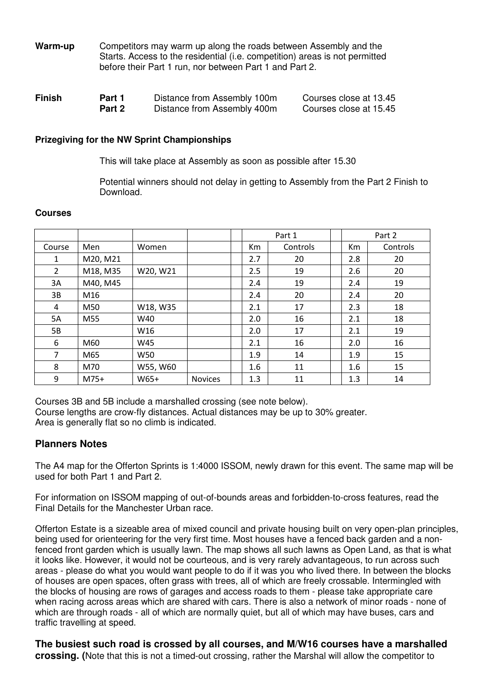| Warm-up | Competitors may warm up along the roads between Assembly and the            |
|---------|-----------------------------------------------------------------------------|
|         | Starts. Access to the residential (i.e. competition) areas is not permitted |
|         | before their Part 1 run, nor between Part 1 and Part 2.                     |

| <b>Finish</b> | Part 1 | Distance from Assembly 100m | Courses close at 13.45 |
|---------------|--------|-----------------------------|------------------------|
|               | Part 2 | Distance from Assembly 400m | Courses close at 15.45 |

### **Prizegiving for the NW Sprint Championships**

This will take place at Assembly as soon as possible after 15.30

 Potential winners should not delay in getting to Assembly from the Part 2 Finish to Download.

### **Courses**

|                |          |          |                |     | Part 1   |     | Part 2   |
|----------------|----------|----------|----------------|-----|----------|-----|----------|
| Course         | Men      | Women    |                | Km  | Controls | Km  | Controls |
| 1              | M20, M21 |          |                | 2.7 | 20       | 2.8 | 20       |
| $\overline{2}$ | M18, M35 | W20, W21 |                | 2.5 | 19       | 2.6 | 20       |
| 3A             | M40, M45 |          |                | 2.4 | 19       | 2.4 | 19       |
| 3B             | M16      |          |                | 2.4 | 20       | 2.4 | 20       |
| 4              | M50      | W18, W35 |                | 2.1 | 17       | 2.3 | 18       |
| 5A             | M55      | W40      |                | 2.0 | 16       | 2.1 | 18       |
| 5B             |          | W16      |                | 2.0 | 17       | 2.1 | 19       |
| 6              | M60      | W45      |                | 2.1 | 16       | 2.0 | 16       |
| 7              | M65      | W50      |                | 1.9 | 14       | 1.9 | 15       |
| 8              | M70      | W55, W60 |                | 1.6 | 11       | 1.6 | 15       |
| 9              | $M75+$   | W65+     | <b>Novices</b> | 1.3 | 11       | 1.3 | 14       |

Courses 3B and 5B include a marshalled crossing (see note below). Course lengths are crow-fly distances. Actual distances may be up to 30% greater. Area is generally flat so no climb is indicated.

### **Planners Notes**

The A4 map for the Offerton Sprints is 1:4000 ISSOM, newly drawn for this event. The same map will be used for both Part 1 and Part 2.

For information on ISSOM mapping of out-of-bounds areas and forbidden-to-cross features, read the Final Details for the Manchester Urban race.

Offerton Estate is a sizeable area of mixed council and private housing built on very open-plan principles, being used for orienteering for the very first time. Most houses have a fenced back garden and a nonfenced front garden which is usually lawn. The map shows all such lawns as Open Land, as that is what it looks like. However, it would not be courteous, and is very rarely advantageous, to run across such areas - please do what you would want people to do if it was you who lived there. In between the blocks of houses are open spaces, often grass with trees, all of which are freely crossable. Intermingled with the blocks of housing are rows of garages and access roads to them - please take appropriate care when racing across areas which are shared with cars. There is also a network of minor roads - none of which are through roads - all of which are normally quiet, but all of which may have buses, cars and traffic travelling at speed.

**The busiest such road is crossed by all courses, and M/W16 courses have a marshalled crossing. (**Note that this is not a timed-out crossing, rather the Marshal will allow the competitor to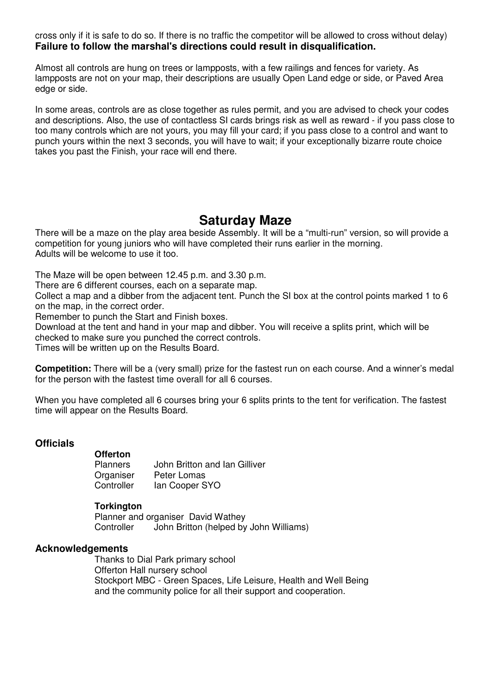cross only if it is safe to do so. If there is no traffic the competitor will be allowed to cross without delay) **Failure to follow the marshal's directions could result in disqualification.** 

Almost all controls are hung on trees or lampposts, with a few railings and fences for variety. As lampposts are not on your map, their descriptions are usually Open Land edge or side, or Paved Area edge or side.

In some areas, controls are as close together as rules permit, and you are advised to check your codes and descriptions. Also, the use of contactless SI cards brings risk as well as reward - if you pass close to too many controls which are not yours, you may fill your card; if you pass close to a control and want to punch yours within the next 3 seconds, you will have to wait; if your exceptionally bizarre route choice takes you past the Finish, your race will end there.

# **Saturday Maze**

There will be a maze on the play area beside Assembly. It will be a "multi-run" version, so will provide a competition for young juniors who will have completed their runs earlier in the morning. Adults will be welcome to use it too.

The Maze will be open between 12.45 p.m. and 3.30 p.m.

There are 6 different courses, each on a separate map.

Collect a map and a dibber from the adjacent tent. Punch the SI box at the control points marked 1 to 6 on the map, in the correct order.

Remember to punch the Start and Finish boxes.

Download at the tent and hand in your map and dibber. You will receive a splits print, which will be checked to make sure you punched the correct controls.

Times will be written up on the Results Board.

**Competition:** There will be a (very small) prize for the fastest run on each course. And a winner's medal for the person with the fastest time overall for all 6 courses.

When you have completed all 6 courses bring your 6 splits prints to the tent for verification. The fastest time will appear on the Results Board.

### **Officials**

# **Offerton**

John Britton and Ian Gilliver Organiser Peter Lomas<br>Controller lan Cooper S lan Cooper SYO

### **Torkington**

 Planner and organiser David Wathey Controller John Britton (helped by John Williams)

### **Acknowledgements**

 Thanks to Dial Park primary school Offerton Hall nursery school Stockport MBC - Green Spaces, Life Leisure, Health and Well Being and the community police for all their support and cooperation.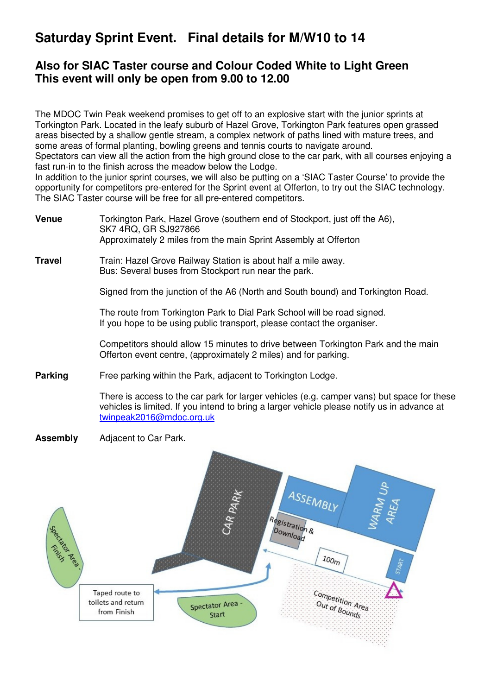# **Saturday Sprint Event. Final details for M/W10 to 14**

### **Also for SIAC Taster course and Colour Coded White to Light Green This event will only be open from 9.00 to 12.00**

The MDOC Twin Peak weekend promises to get off to an explosive start with the junior sprints at Torkington Park. Located in the leafy suburb of Hazel Grove, Torkington Park features open grassed areas bisected by a shallow gentle stream, a complex network of paths lined with mature trees, and some areas of formal planting, bowling greens and tennis courts to navigate around.

Spectators can view all the action from the high ground close to the car park, with all courses enjoying a fast run-in to the finish across the meadow below the Lodge.

In addition to the junior sprint courses, we will also be putting on a 'SIAC Taster Course' to provide the opportunity for competitors pre-entered for the Sprint event at Offerton, to try out the SIAC technology. The SIAC Taster course will be free for all pre-entered competitors.

**Venue** Torkington Park, Hazel Grove (southern end of Stockport, just off the A6), SK7 4RQ, GR SJ927866 Approximately 2 miles from the main Sprint Assembly at Offerton

**Travel Train: Hazel Grove Railway Station is about half a mile away.** Bus: Several buses from Stockport run near the park.

Signed from the junction of the A6 (North and South bound) and Torkington Road.

 The route from Torkington Park to Dial Park School will be road signed. If you hope to be using public transport, please contact the organiser.

 Competitors should allow 15 minutes to drive between Torkington Park and the main Offerton event centre, (approximately 2 miles) and for parking.

**Parking** Free parking within the Park, adjacent to Torkington Lodge.

There is access to the car park for larger vehicles (e.g. camper vans) but space for these vehicles is limited. If you intend to bring a larger vehicle please notify us in advance at twinpeak2016@mdoc.org.uk

**Assembly** Adjacent to Car Park.

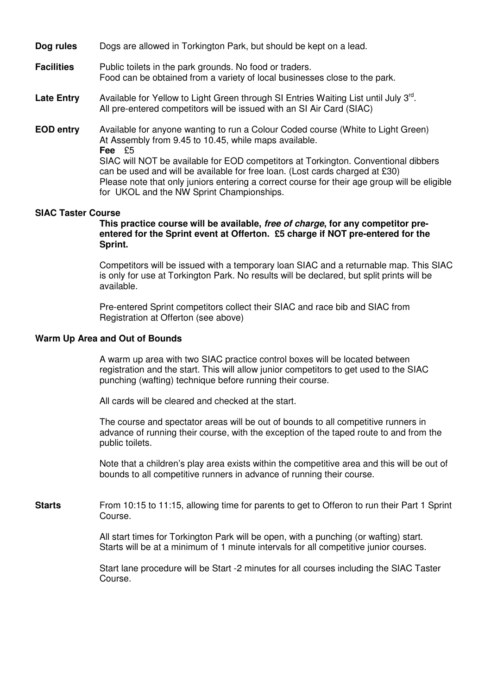| Dog rules |  |  | Dogs are allowed in Torkington Park, but should be kept on a lead. |
|-----------|--|--|--------------------------------------------------------------------|
|-----------|--|--|--------------------------------------------------------------------|

- **Facilities** Public toilets in the park grounds. No food or traders. Food can be obtained from a variety of local businesses close to the park.
- Late Entry Available for Yellow to Light Green through SI Entries Waiting List until July 3<sup>rd</sup>. All pre-entered competitors will be issued with an SI Air Card (SIAC)
- **EOD entry** Available for anyone wanting to run a Colour Coded course (White to Light Green) At Assembly from 9.45 to 10.45, while maps available.  **Fee** £5 SIAC will NOT be available for EOD competitors at Torkington. Conventional dibbers can be used and will be available for free loan. (Lost cards charged at £30) Please note that only juniors entering a correct course for their age group will be eligible for UKOL and the NW Sprint Championships.

#### **SIAC Taster Course**

 **This practice course will be available, free of charge, for any competitor preentered for the Sprint event at Offerton. £5 charge if NOT pre-entered for the Sprint.** 

Competitors will be issued with a temporary loan SIAC and a returnable map. This SIAC is only for use at Torkington Park. No results will be declared, but split prints will be available.

 Pre-entered Sprint competitors collect their SIAC and race bib and SIAC from Registration at Offerton (see above)

#### **Warm Up Area and Out of Bounds**

 A warm up area with two SIAC practice control boxes will be located between registration and the start. This will allow junior competitors to get used to the SIAC punching (wafting) technique before running their course.

All cards will be cleared and checked at the start.

 The course and spectator areas will be out of bounds to all competitive runners in advance of running their course, with the exception of the taped route to and from the public toilets.

 Note that a children's play area exists within the competitive area and this will be out of bounds to all competitive runners in advance of running their course.

**Starts** From 10:15 to 11:15, allowing time for parents to get to Offeron to run their Part 1 Sprint Course.

> All start times for Torkington Park will be open, with a punching (or wafting) start. Starts will be at a minimum of 1 minute intervals for all competitive junior courses.

 Start lane procedure will be Start -2 minutes for all courses including the SIAC Taster Course.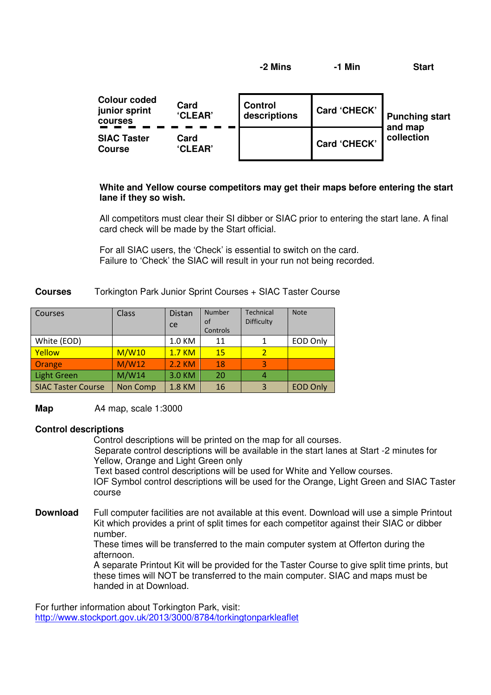**-2 Mins -1 Min Start** 

| <b>Colour coded</b><br>Card<br>junior sprint<br><b>CLEAR</b><br>courses |                        | <b>Control</b><br>descriptions | <b>Card 'CHECK'</b> | <b>Punching start</b> |
|-------------------------------------------------------------------------|------------------------|--------------------------------|---------------------|-----------------------|
| <b>SIAC Taster</b><br>Course                                            | Card<br><b>'CLEAR'</b> |                                | <b>Card 'CHECK'</b> | and map<br>collection |

### **White and Yellow course competitors may get their maps before entering the start lane if they so wish.**

All competitors must clear their SI dibber or SIAC prior to entering the start lane. A final card check will be made by the Start official.

 For all SIAC users, the 'Check' is essential to switch on the card. Failure to 'Check' the SIAC will result in your run not being recorded.

### **Courses** Torkington Park Junior Sprint Courses + SIAC Taster Course

| Courses                   | <b>Class</b> | <b>Distan</b><br>ce | <b>Number</b><br>of<br>Controls | <b>Technical</b><br>Difficulty | <b>Note</b>     |
|---------------------------|--------------|---------------------|---------------------------------|--------------------------------|-----------------|
| White (EOD)               |              | 1.0 KM              | 11                              |                                | EOD Only        |
| Yellow                    | M/W10        | <b>1.7 KM</b>       | 15                              | $\overline{2}$                 |                 |
| Orange                    | M/W12        | 2.2 KM              | 18                              | $\overline{a}$                 |                 |
| <b>Light Green</b>        | M/W14        | 3.0 KM              | 20                              | 4                              |                 |
| <b>SIAC Taster Course</b> | Non Comp     | 1.8 KM              | 16                              | $\mathbf{B}$                   | <b>EOD Only</b> |

**Map A4 map, scale 1:3000** 

### **Control descriptions**

 Control descriptions will be printed on the map for all courses. Separate control descriptions will be available in the start lanes at Start -2 minutes for

Yellow, Orange and Light Green only

Text based control descriptions will be used for White and Yellow courses.

 IOF Symbol control descriptions will be used for the Orange, Light Green and SIAC Taster course

**Download** Full computer facilities are not available at this event. Download will use a simple Printout Kit which provides a print of split times for each competitor against their SIAC or dibber number.

 These times will be transferred to the main computer system at Offerton during the afternoon.

 A separate Printout Kit will be provided for the Taster Course to give split time prints, but these times will NOT be transferred to the main computer. SIAC and maps must be handed in at Download.

For further information about Torkington Park, visit: http://www.stockport.gov.uk/2013/3000/8784/torkingtonparkleaflet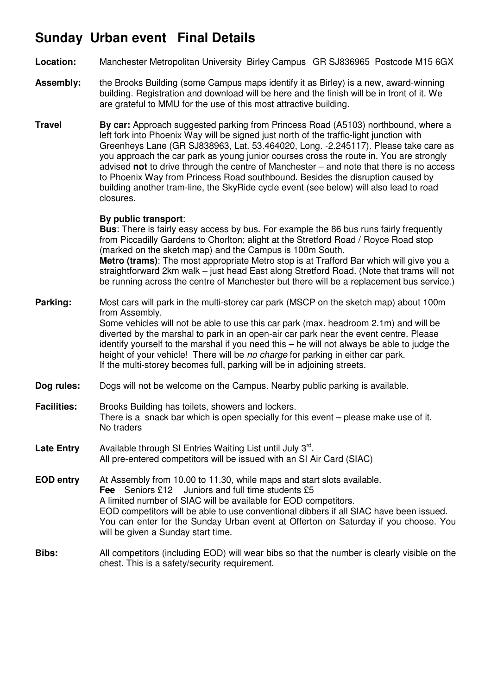# **Sunday Urban event Final Details**

- **Location:** Manchester Metropolitan University Birley Campus GR SJ836965 Postcode M15 6GX
- **Assembly:** the Brooks Building (some Campus maps identify it as Birley) is a new, award-winning building. Registration and download will be here and the finish will be in front of it. We are grateful to MMU for the use of this most attractive building.
- **Travel <b>By car:** Approach suggested parking from Princess Road (A5103) northbound, where a left fork into Phoenix Way will be signed just north of the traffic-light junction with Greenheys Lane (GR SJ838963, Lat. 53.464020, Long. -2.245117). Please take care as you approach the car park as young junior courses cross the route in. You are strongly advised **not** to drive through the centre of Manchester – and note that there is no access to Phoenix Way from Princess Road southbound. Besides the disruption caused by building another tram-line, the SkyRide cycle event (see below) will also lead to road closures.

### **By public transport**:

 **Bus**: There is fairly easy access by bus. For example the 86 bus runs fairly frequently from Piccadilly Gardens to Chorlton; alight at the Stretford Road / Royce Road stop (marked on the sketch map) and the Campus is 100m South.

 **Metro (trams)**: The most appropriate Metro stop is at Trafford Bar which will give you a straightforward 2km walk – just head East along Stretford Road. (Note that trams will not be running across the centre of Manchester but there will be a replacement bus service.)

**Parking:** Most cars will park in the multi-storey car park (MSCP on the sketch map) about 100m from Assembly. Some vehicles will not be able to use this car park (max. headroom 2.1m) and will be diverted by the marshal to park in an open-air car park near the event centre. Please identify yourself to the marshal if you need this – he will not always be able to judge the height of your vehicle! There will be no charge for parking in either car park. If the multi-storey becomes full, parking will be in adjoining streets.

- **Dog rules:** Dogs will not be welcome on the Campus. Nearby public parking is available.
- **Facilities:** Brooks Building has toilets, showers and lockers. There is a snack bar which is open specially for this event – please make use of it. No traders
- Late Entry Available through SI Entries Waiting List until July 3<sup>rd</sup>. All pre-entered competitors will be issued with an SI Air Card (SIAC)
- **EOD entry** At Assembly from 10.00 to 11.30, while maps and start slots available.  **Fee** Seniors £12 Juniors and full time students £5 A limited number of SIAC will be available for EOD competitors. EOD competitors will be able to use conventional dibbers if all SIAC have been issued. You can enter for the Sunday Urban event at Offerton on Saturday if you choose. You will be given a Sunday start time.
- **Bibs:** All competitors (including EOD) will wear bibs so that the number is clearly visible on the chest. This is a safety/security requirement.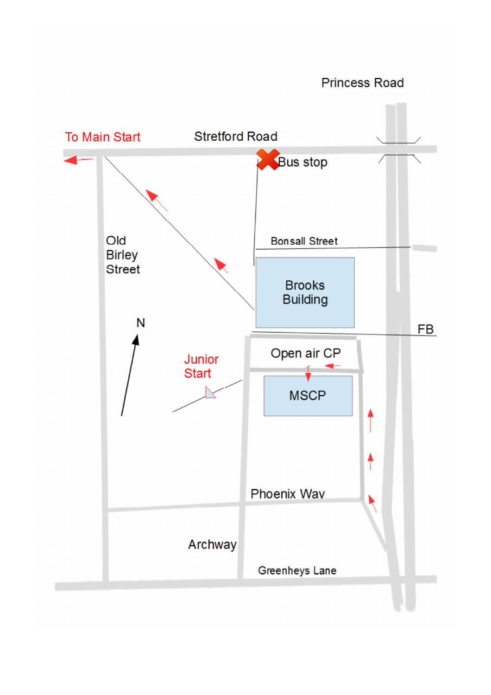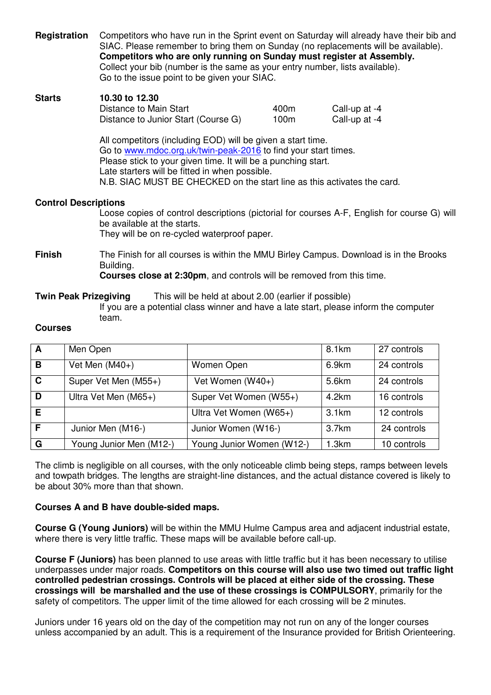| Registration                                                                                                                                                                                                                                                                                                                | Competitors who have run in the Sprint event on Saturday will already have their bib and<br>SIAC. Please remember to bring them on Sunday (no replacements will be available).<br>Competitors who are only running on Sunday must register at Assembly.<br>Collect your bib (number is the same as your entry number, lists available).<br>Go to the issue point to be given your SIAC. |                                                                            |              |                                                                                             |
|-----------------------------------------------------------------------------------------------------------------------------------------------------------------------------------------------------------------------------------------------------------------------------------------------------------------------------|-----------------------------------------------------------------------------------------------------------------------------------------------------------------------------------------------------------------------------------------------------------------------------------------------------------------------------------------------------------------------------------------|----------------------------------------------------------------------------|--------------|---------------------------------------------------------------------------------------------|
| <b>Starts</b>                                                                                                                                                                                                                                                                                                               | 10.30 to 12.30<br>Distance to Main Start                                                                                                                                                                                                                                                                                                                                                | Distance to Junior Start (Course G)                                        | 400m<br>100m | Call-up at -4<br>Call-up at -4                                                              |
| All competitors (including EOD) will be given a start time.<br>Go to www.mdoc.org.uk/twin-peak-2016 to find your start times.<br>Please stick to your given time. It will be a punching start.<br>Late starters will be fitted in when possible.<br>N.B. SIAC MUST BE CHECKED on the start line as this activates the card. |                                                                                                                                                                                                                                                                                                                                                                                         |                                                                            |              |                                                                                             |
| <b>Control Descriptions</b>                                                                                                                                                                                                                                                                                                 |                                                                                                                                                                                                                                                                                                                                                                                         | be available at the starts.<br>They will be on re-cycled waterproof paper. |              | Loose copies of control descriptions (pictorial for courses A-F, English for course G) will |
| <b>Finish</b>                                                                                                                                                                                                                                                                                                               | The Finish for all courses is within the MMU Birley Campus. Download is in the Brooks<br>Building.<br><b>Courses close at 2:30pm</b> , and controls will be removed from this time.                                                                                                                                                                                                     |                                                                            |              |                                                                                             |
| <b>Twin Peak Prizegiving</b>                                                                                                                                                                                                                                                                                                |                                                                                                                                                                                                                                                                                                                                                                                         | This will be held at about 2.00 (earlier if possible)                      |              |                                                                                             |

 If you are a potential class winner and have a late start, please inform the computer team.

### **Courses**

| $\mathbf{A}$ | Men Open                |                           | 8.1km | 27 controls |
|--------------|-------------------------|---------------------------|-------|-------------|
| B            | Vet Men $(M40+)$        | Women Open                | 6.9km | 24 controls |
| $\mathbf{C}$ | Super Vet Men (M55+)    | Vet Women (W40+)          | 5.6km | 24 controls |
| D            | Ultra Vet Men (M65+)    | Super Vet Women (W55+)    | 4.2km | 16 controls |
| E            |                         | Ultra Vet Women (W65+)    | 3.1km | 12 controls |
| F            | Junior Men (M16-)       | Junior Women (W16-)       | 3.7km | 24 controls |
| G            | Young Junior Men (M12-) | Young Junior Women (W12-) | 1.3km | 10 controls |

The climb is negligible on all courses, with the only noticeable climb being steps, ramps between levels and towpath bridges. The lengths are straight-line distances, and the actual distance covered is likely to be about 30% more than that shown.

### **Courses A and B have double-sided maps.**

**Course G (Young Juniors)** will be within the MMU Hulme Campus area and adjacent industrial estate, where there is very little traffic. These maps will be available before call-up.

**Course F (Juniors)** has been planned to use areas with little traffic but it has been necessary to utilise underpasses under major roads. **Competitors on this course will also use two timed out traffic light controlled pedestrian crossings. Controls will be placed at either side of the crossing. These crossings will be marshalled and the use of these crossings is COMPULSORY**, primarily for the safety of competitors. The upper limit of the time allowed for each crossing will be 2 minutes.

Juniors under 16 years old on the day of the competition may not run on any of the longer courses unless accompanied by an adult. This is a requirement of the Insurance provided for British Orienteering.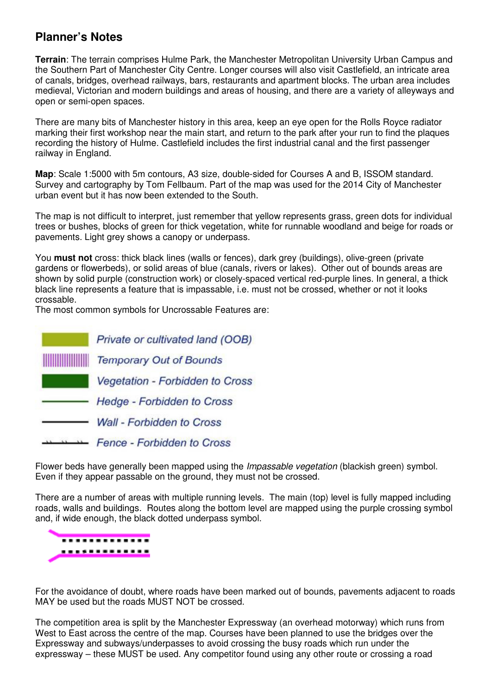### **Planner's Notes**

**Terrain**: The terrain comprises Hulme Park, the Manchester Metropolitan University Urban Campus and the Southern Part of Manchester City Centre. Longer courses will also visit Castlefield, an intricate area of canals, bridges, overhead railways, bars, restaurants and apartment blocks. The urban area includes medieval, Victorian and modern buildings and areas of housing, and there are a variety of alleyways and open or semi-open spaces.

There are many bits of Manchester history in this area, keep an eye open for the Rolls Royce radiator marking their first workshop near the main start, and return to the park after your run to find the plaques recording the history of Hulme. Castlefield includes the first industrial canal and the first passenger railway in England.

**Map**: Scale 1:5000 with 5m contours, A3 size, double-sided for Courses A and B, ISSOM standard. Survey and cartography by Tom Fellbaum. Part of the map was used for the 2014 City of Manchester urban event but it has now been extended to the South.

The map is not difficult to interpret, just remember that yellow represents grass, green dots for individual trees or bushes, blocks of green for thick vegetation, white for runnable woodland and beige for roads or pavements. Light grey shows a canopy or underpass.

You **must not** cross: thick black lines (walls or fences), dark grey (buildings), olive-green (private gardens or flowerbeds), or solid areas of blue (canals, rivers or lakes). Other out of bounds areas are shown by solid purple (construction work) or closely-spaced vertical red-purple lines. In general, a thick black line represents a feature that is impassable, i.e. must not be crossed, whether or not it looks crossable.

The most common symbols for Uncrossable Features are:

|                    | Private or cultivated land (OOB)  |
|--------------------|-----------------------------------|
| <b>HITTININ IN</b> | <b>Temporary Out of Bounds</b>    |
|                    | Vegetation - Forbidden to Cross   |
|                    | <b>Hedge - Forbidden to Cross</b> |
|                    | <b>Wall - Forbidden to Cross</b>  |
|                    | Fence - Forbidden to Cross        |

Flower beds have generally been mapped using the *Impassable vegetation* (blackish green) symbol. Even if they appear passable on the ground, they must not be crossed.

There are a number of areas with multiple running levels. The main (top) level is fully mapped including roads, walls and buildings. Routes along the bottom level are mapped using the purple crossing symbol and, if wide enough, the black dotted underpass symbol.



For the avoidance of doubt, where roads have been marked out of bounds, pavements adjacent to roads MAY be used but the roads MUST NOT be crossed.

The competition area is split by the Manchester Expressway (an overhead motorway) which runs from West to East across the centre of the map. Courses have been planned to use the bridges over the Expressway and subways/underpasses to avoid crossing the busy roads which run under the expressway – these MUST be used. Any competitor found using any other route or crossing a road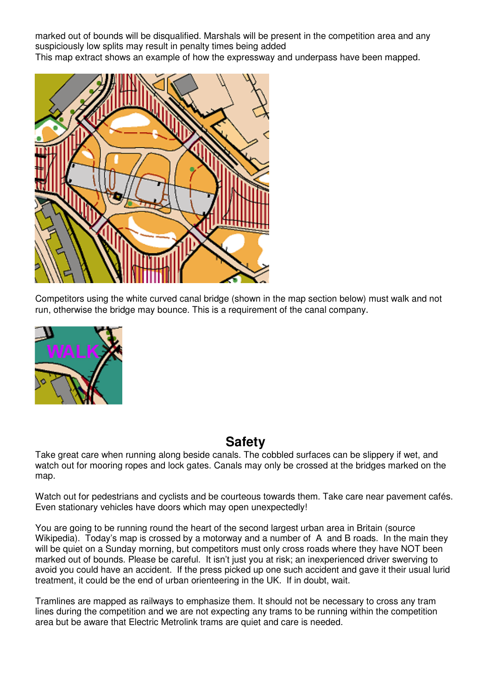marked out of bounds will be disqualified. Marshals will be present in the competition area and any suspiciously low splits may result in penalty times being added This map extract shows an example of how the expressway and underpass have been mapped.



Competitors using the white curved canal bridge (shown in the map section below) must walk and not run, otherwise the bridge may bounce. This is a requirement of the canal company.



# **Safety**

Take great care when running along beside canals. The cobbled surfaces can be slippery if wet, and watch out for mooring ropes and lock gates. Canals may only be crossed at the bridges marked on the map.

Watch out for pedestrians and cyclists and be courteous towards them. Take care near pavement cafés. Even stationary vehicles have doors which may open unexpectedly!

You are going to be running round the heart of the second largest urban area in Britain (source Wikipedia). Today's map is crossed by a motorway and a number of A and B roads. In the main they will be quiet on a Sunday morning, but competitors must only cross roads where they have NOT been marked out of bounds. Please be careful. It isn't just you at risk; an inexperienced driver swerving to avoid you could have an accident. If the press picked up one such accident and gave it their usual lurid treatment, it could be the end of urban orienteering in the UK. If in doubt, wait.

Tramlines are mapped as railways to emphasize them. It should not be necessary to cross any tram lines during the competition and we are not expecting any trams to be running within the competition area but be aware that Electric Metrolink trams are quiet and care is needed.